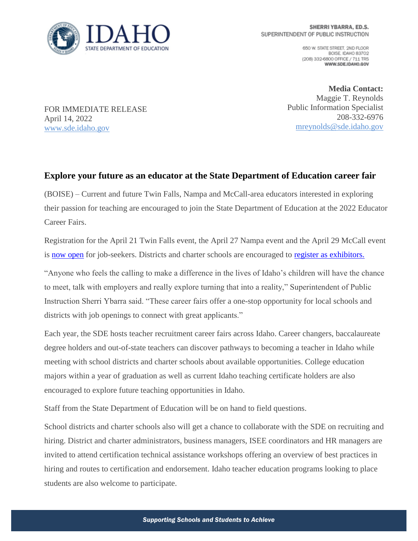

650 W. STATE STREET, 2ND FLOOR BOISE IDAHO 83702 (208) 332-6800 OFFICE / 711 TRS WWW.SDE.IDAHO.GOV

FOR IMMEDIATE RELEASE April 14, 2022 [www.sde.idaho.gov](http://www.sde.idaho.gov/)

**Media Contact:** Maggie T. Reynolds Public Information Specialist 208-332-6976 [mreynolds@sde.idaho.gov](mailto:mreynolds@sde.idaho.gov)

## **Explore your future as an educator at the State Department of Education career fair**

(BOISE) – Current and future Twin Falls, Nampa and McCall-area educators interested in exploring their passion for teaching are encouraged to join the State Department of Education at the 2022 Educator Career Fairs.

Registration for the April 21 Twin Falls event, the April 27 Nampa event and the April 29 McCall event is [now open](https://www.sde.idaho.gov/events/career-fair/) for job-seekers. Districts and charter schools are encouraged to [register as exhibitors.](https://www.sde.idaho.gov/events/career-fair/career-fair-exhibitors.html) 

"Anyone who feels the calling to make a difference in the lives of Idaho's children will have the chance to meet, talk with employers and really explore turning that into a reality," Superintendent of Public Instruction Sherri Ybarra said. "These career fairs offer a one-stop opportunity for local schools and districts with job openings to connect with great applicants."

Each year, the SDE hosts teacher recruitment career fairs across Idaho. Career changers, baccalaureate degree holders and out-of-state teachers can discover pathways to becoming a teacher in Idaho while meeting with school districts and charter schools about available opportunities. College education majors within a year of graduation as well as current Idaho teaching certificate holders are also encouraged to explore future teaching opportunities in Idaho.

Staff from the State Department of Education will be on hand to field questions.

School districts and charter schools also will get a chance to collaborate with the SDE on recruiting and hiring. District and charter administrators, business managers, ISEE coordinators and HR managers are invited to attend certification technical assistance workshops offering an overview of best practices in hiring and routes to certification and endorsement. Idaho teacher education programs looking to place students are also welcome to participate.